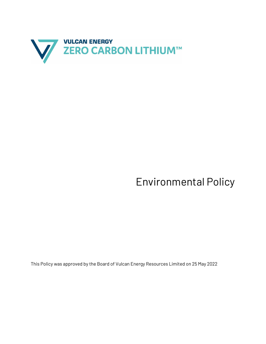

## Environmental Policy

This Policy was approved by the Board of Vulcan Energy Resources Limited on 25 May 2022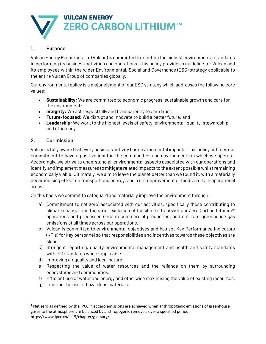

## **1. Purpose**

Vulcan Energy Resources Ltd (Vulcan) is committed to meeting the highest environmental standards in performing its business activities and operations. This policy provides a guideline for Vulcan and its employees within the wider Environmental, Social and Governance (ESG) strategy applicable to the entire Vulcan Group of companies globally.

Our environmental policy is a major element of our ESG strategy which addresses the following core values:

- **Sustainability:** We are committed to economic progress, sustainable growth and care for the environment;
- **Integrity:** We act respectfully and transparently to earn trust;
- **Future-focused:** We disrupt and innovate to build a better future; and
- **Leadership:** We work to the highest levels of safety, environmental, quality, stewardship and efficiency.

## **2. Our mission**

Vulcan is fully aware that every business activity has environmental impacts. This policy outlines our commitment to have a positive input in the communities and environments in which we operate. Accordingly, we strive to understand all environmental aspects associated with our operations and identify and implement measures to mitigate related impacts to the extent possible whilst remaining economically viable. Ultimately, we aim to leave the planet better than we found it, with a materially decarbonising effect on transport and energy, and a net improvement of biodiversity in operational areas.

On this basis we commit to safeguard and materially improve the environment through:

- a) Commitment to net zero<sup>1</sup> associated with our activities, specifically those contributing to climate change, and the strict exclusion of fossil fuels to power our Zero Carbon Lithium™ operations and processes once in commercial production, and net zero greenhouse gas emissions at all times across our operations.
- b) Vulcan is committed to environmental objectives and has set Key Performance Indicators (KPIs) for key personnel so that responsibilities and incentives towards these objectives are clear.
- c) Stringent reporting, quality environmental management and health and safety standards with ISO standards where applicable.
- d) Improving air quality and local nature.
- e) Respecting the value of water resources and the reliance on them by surrounding ecosystems and communities.
- f) Efficient use of water and energy and otherwise maximising the value of existing resources.
- g) Limiting the use of hazardous materials.

 $1$  Net zero as defined by the IPCC 'Net zero emissions are achieved when anthropogenic emissions of greenhouse gases to the atmosphere are balanced by anthropogenic removals over a specified period' https://www.ipcc.ch/sr15/chapter/glossary/